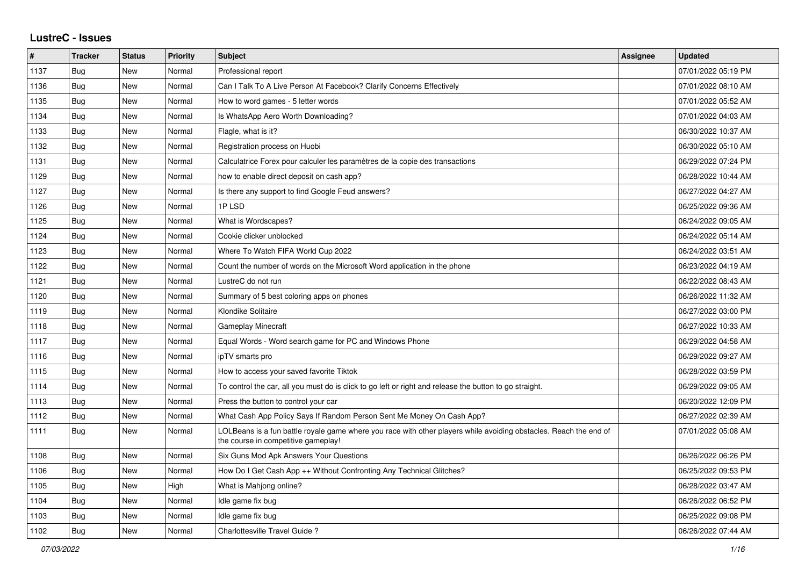## **LustreC - Issues**

| $\vert$ # | <b>Tracker</b> | <b>Status</b> | <b>Priority</b> | <b>Subject</b>                                                                                                                                           | <b>Assignee</b> | <b>Updated</b>      |
|-----------|----------------|---------------|-----------------|----------------------------------------------------------------------------------------------------------------------------------------------------------|-----------------|---------------------|
| 1137      | Bug            | New           | Normal          | Professional report                                                                                                                                      |                 | 07/01/2022 05:19 PM |
| 1136      | <b>Bug</b>     | <b>New</b>    | Normal          | Can I Talk To A Live Person At Facebook? Clarify Concerns Effectively                                                                                    |                 | 07/01/2022 08:10 AM |
| 1135      | Bug            | New           | Normal          | How to word games - 5 letter words                                                                                                                       |                 | 07/01/2022 05:52 AM |
| 1134      | <b>Bug</b>     | New           | Normal          | Is WhatsApp Aero Worth Downloading?                                                                                                                      |                 | 07/01/2022 04:03 AM |
| 1133      | <b>Bug</b>     | New           | Normal          | Flagle, what is it?                                                                                                                                      |                 | 06/30/2022 10:37 AM |
| 1132      | Bug            | New           | Normal          | Registration process on Huobi                                                                                                                            |                 | 06/30/2022 05:10 AM |
| 1131      | Bug            | <b>New</b>    | Normal          | Calculatrice Forex pour calculer les paramètres de la copie des transactions                                                                             |                 | 06/29/2022 07:24 PM |
| 1129      | Bug            | New           | Normal          | how to enable direct deposit on cash app?                                                                                                                |                 | 06/28/2022 10:44 AM |
| 1127      | <b>Bug</b>     | <b>New</b>    | Normal          | Is there any support to find Google Feud answers?                                                                                                        |                 | 06/27/2022 04:27 AM |
| 1126      | Bug            | New           | Normal          | 1PLSD                                                                                                                                                    |                 | 06/25/2022 09:36 AM |
| 1125      | <b>Bug</b>     | New           | Normal          | What is Wordscapes?                                                                                                                                      |                 | 06/24/2022 09:05 AM |
| 1124      | Bug            | <b>New</b>    | Normal          | Cookie clicker unblocked                                                                                                                                 |                 | 06/24/2022 05:14 AM |
| 1123      | <b>Bug</b>     | New           | Normal          | Where To Watch FIFA World Cup 2022                                                                                                                       |                 | 06/24/2022 03:51 AM |
| 1122      | <b>Bug</b>     | New           | Normal          | Count the number of words on the Microsoft Word application in the phone                                                                                 |                 | 06/23/2022 04:19 AM |
| 1121      | <b>Bug</b>     | New           | Normal          | LustreC do not run                                                                                                                                       |                 | 06/22/2022 08:43 AM |
| 1120      | Bug            | New           | Normal          | Summary of 5 best coloring apps on phones                                                                                                                |                 | 06/26/2022 11:32 AM |
| 1119      | Bug            | <b>New</b>    | Normal          | Klondike Solitaire                                                                                                                                       |                 | 06/27/2022 03:00 PM |
| 1118      | <b>Bug</b>     | New           | Normal          | <b>Gameplay Minecraft</b>                                                                                                                                |                 | 06/27/2022 10:33 AM |
| 1117      | Bug            | New           | Normal          | Equal Words - Word search game for PC and Windows Phone                                                                                                  |                 | 06/29/2022 04:58 AM |
| 1116      | Bug            | New           | Normal          | ipTV smarts pro                                                                                                                                          |                 | 06/29/2022 09:27 AM |
| 1115      | Bug            | New           | Normal          | How to access your saved favorite Tiktok                                                                                                                 |                 | 06/28/2022 03:59 PM |
| 1114      | Bug            | <b>New</b>    | Normal          | To control the car, all you must do is click to go left or right and release the button to go straight.                                                  |                 | 06/29/2022 09:05 AM |
| 1113      | Bug            | New           | Normal          | Press the button to control your car                                                                                                                     |                 | 06/20/2022 12:09 PM |
| 1112      | Bug            | New           | Normal          | What Cash App Policy Says If Random Person Sent Me Money On Cash App?                                                                                    |                 | 06/27/2022 02:39 AM |
| 1111      | Bug            | New           | Normal          | LOLBeans is a fun battle royale game where you race with other players while avoiding obstacles. Reach the end of<br>the course in competitive gameplay! |                 | 07/01/2022 05:08 AM |
| 1108      | Bug            | New           | Normal          | Six Guns Mod Apk Answers Your Questions                                                                                                                  |                 | 06/26/2022 06:26 PM |
| 1106      | <b>Bug</b>     | <b>New</b>    | Normal          | How Do I Get Cash App ++ Without Confronting Any Technical Glitches?                                                                                     |                 | 06/25/2022 09:53 PM |
| 1105      | <b>Bug</b>     | New           | High            | What is Mahjong online?                                                                                                                                  |                 | 06/28/2022 03:47 AM |
| 1104      | <b>Bug</b>     | New           | Normal          | Idle game fix bug                                                                                                                                        |                 | 06/26/2022 06:52 PM |
| 1103      | Bug            | New           | Normal          | Idle game fix bug                                                                                                                                        |                 | 06/25/2022 09:08 PM |
| 1102      | Bug            | New           | Normal          | Charlottesville Travel Guide?                                                                                                                            |                 | 06/26/2022 07:44 AM |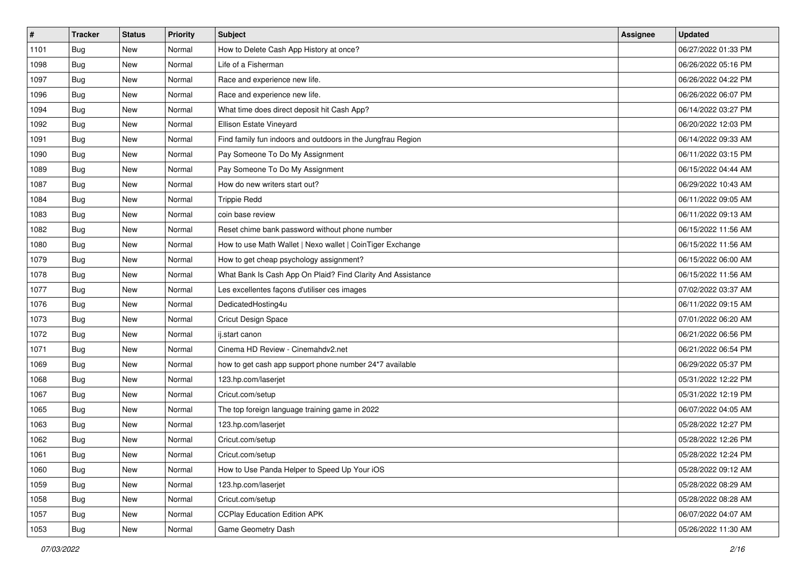| $\vert$ # | <b>Tracker</b> | <b>Status</b> | Priority | <b>Subject</b>                                              | Assignee | <b>Updated</b>      |
|-----------|----------------|---------------|----------|-------------------------------------------------------------|----------|---------------------|
| 1101      | Bug            | New           | Normal   | How to Delete Cash App History at once?                     |          | 06/27/2022 01:33 PM |
| 1098      | Bug            | New           | Normal   | Life of a Fisherman                                         |          | 06/26/2022 05:16 PM |
| 1097      | <b>Bug</b>     | New           | Normal   | Race and experience new life.                               |          | 06/26/2022 04:22 PM |
| 1096      | <b>Bug</b>     | New           | Normal   | Race and experience new life.                               |          | 06/26/2022 06:07 PM |
| 1094      | <b>Bug</b>     | <b>New</b>    | Normal   | What time does direct deposit hit Cash App?                 |          | 06/14/2022 03:27 PM |
| 1092      | Bug            | New           | Normal   | Ellison Estate Vineyard                                     |          | 06/20/2022 12:03 PM |
| 1091      | <b>Bug</b>     | New           | Normal   | Find family fun indoors and outdoors in the Jungfrau Region |          | 06/14/2022 09:33 AM |
| 1090      | Bug            | New           | Normal   | Pay Someone To Do My Assignment                             |          | 06/11/2022 03:15 PM |
| 1089      | Bug            | New           | Normal   | Pay Someone To Do My Assignment                             |          | 06/15/2022 04:44 AM |
| 1087      | Bug            | New           | Normal   | How do new writers start out?                               |          | 06/29/2022 10:43 AM |
| 1084      | Bug            | New           | Normal   | <b>Trippie Redd</b>                                         |          | 06/11/2022 09:05 AM |
| 1083      | Bug            | New           | Normal   | coin base review                                            |          | 06/11/2022 09:13 AM |
| 1082      | Bug            | New           | Normal   | Reset chime bank password without phone number              |          | 06/15/2022 11:56 AM |
| 1080      | <b>Bug</b>     | New           | Normal   | How to use Math Wallet   Nexo wallet   CoinTiger Exchange   |          | 06/15/2022 11:56 AM |
| 1079      | Bug            | New           | Normal   | How to get cheap psychology assignment?                     |          | 06/15/2022 06:00 AM |
| 1078      | <b>Bug</b>     | New           | Normal   | What Bank Is Cash App On Plaid? Find Clarity And Assistance |          | 06/15/2022 11:56 AM |
| 1077      | <b>Bug</b>     | New           | Normal   | Les excellentes façons d'utiliser ces images                |          | 07/02/2022 03:37 AM |
| 1076      | Bug            | New           | Normal   | DedicatedHosting4u                                          |          | 06/11/2022 09:15 AM |
| 1073      | <b>Bug</b>     | New           | Normal   | Cricut Design Space                                         |          | 07/01/2022 06:20 AM |
| 1072      | Bug            | New           | Normal   | ij.start canon                                              |          | 06/21/2022 06:56 PM |
| 1071      | Bug            | New           | Normal   | Cinema HD Review - Cinemahdv2.net                           |          | 06/21/2022 06:54 PM |
| 1069      | Bug            | New           | Normal   | how to get cash app support phone number 24*7 available     |          | 06/29/2022 05:37 PM |
| 1068      | Bug            | <b>New</b>    | Normal   | 123.hp.com/laserjet                                         |          | 05/31/2022 12:22 PM |
| 1067      | Bug            | New           | Normal   | Cricut.com/setup                                            |          | 05/31/2022 12:19 PM |
| 1065      | Bug            | New           | Normal   | The top foreign language training game in 2022              |          | 06/07/2022 04:05 AM |
| 1063      | <b>Bug</b>     | New           | Normal   | 123.hp.com/laserjet                                         |          | 05/28/2022 12:27 PM |
| 1062      | <b>Bug</b>     | New           | Normal   | Cricut.com/setup                                            |          | 05/28/2022 12:26 PM |
| 1061      | <b>Bug</b>     | New           | Normal   | Cricut.com/setup                                            |          | 05/28/2022 12:24 PM |
| 1060      | <b>Bug</b>     | New           | Normal   | How to Use Panda Helper to Speed Up Your iOS                |          | 05/28/2022 09:12 AM |
| 1059      | Bug            | New           | Normal   | 123.hp.com/laserjet                                         |          | 05/28/2022 08:29 AM |
| 1058      | Bug            | New           | Normal   | Cricut.com/setup                                            |          | 05/28/2022 08:28 AM |
| 1057      | <b>Bug</b>     | New           | Normal   | <b>CCPlay Education Edition APK</b>                         |          | 06/07/2022 04:07 AM |
| 1053      | <b>Bug</b>     | New           | Normal   | Game Geometry Dash                                          |          | 05/26/2022 11:30 AM |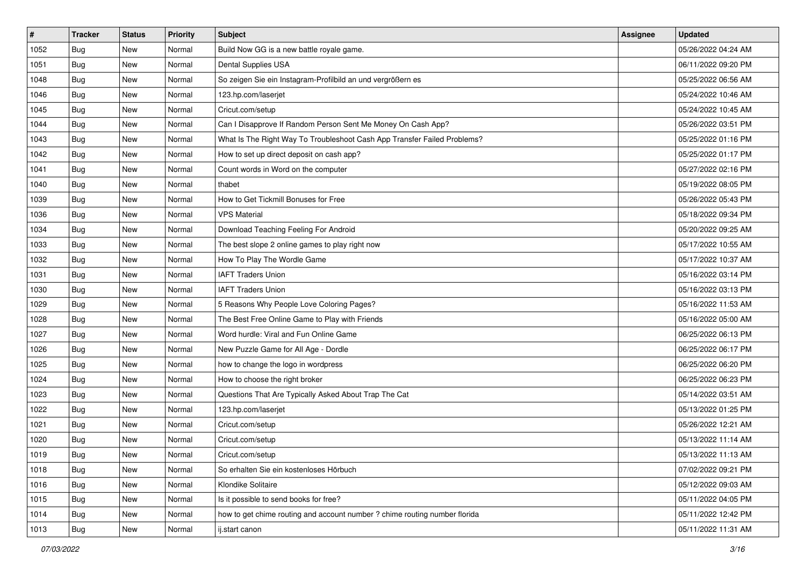| $\vert$ # | <b>Tracker</b> | <b>Status</b> | Priority | <b>Subject</b>                                                             | <b>Assignee</b> | <b>Updated</b>      |
|-----------|----------------|---------------|----------|----------------------------------------------------------------------------|-----------------|---------------------|
| 1052      | <b>Bug</b>     | New           | Normal   | Build Now GG is a new battle royale game.                                  |                 | 05/26/2022 04:24 AM |
| 1051      | Bug            | New           | Normal   | Dental Supplies USA                                                        |                 | 06/11/2022 09:20 PM |
| 1048      | <b>Bug</b>     | New           | Normal   | So zeigen Sie ein Instagram-Profilbild an und vergrößern es                |                 | 05/25/2022 06:56 AM |
| 1046      | <b>Bug</b>     | New           | Normal   | 123.hp.com/laserjet                                                        |                 | 05/24/2022 10:46 AM |
| 1045      | <b>Bug</b>     | <b>New</b>    | Normal   | Cricut.com/setup                                                           |                 | 05/24/2022 10:45 AM |
| 1044      | Bug            | New           | Normal   | Can I Disapprove If Random Person Sent Me Money On Cash App?               |                 | 05/26/2022 03:51 PM |
| 1043      | <b>Bug</b>     | New           | Normal   | What Is The Right Way To Troubleshoot Cash App Transfer Failed Problems?   |                 | 05/25/2022 01:16 PM |
| 1042      | Bug            | New           | Normal   | How to set up direct deposit on cash app?                                  |                 | 05/25/2022 01:17 PM |
| 1041      | Bug            | New           | Normal   | Count words in Word on the computer                                        |                 | 05/27/2022 02:16 PM |
| 1040      | Bug            | New           | Normal   | thabet                                                                     |                 | 05/19/2022 08:05 PM |
| 1039      | Bug            | New           | Normal   | How to Get Tickmill Bonuses for Free                                       |                 | 05/26/2022 05:43 PM |
| 1036      | Bug            | New           | Normal   | <b>VPS Material</b>                                                        |                 | 05/18/2022 09:34 PM |
| 1034      | Bug            | New           | Normal   | Download Teaching Feeling For Android                                      |                 | 05/20/2022 09:25 AM |
| 1033      | Bug            | New           | Normal   | The best slope 2 online games to play right now                            |                 | 05/17/2022 10:55 AM |
| 1032      | Bug            | New           | Normal   | How To Play The Wordle Game                                                |                 | 05/17/2022 10:37 AM |
| 1031      | <b>Bug</b>     | New           | Normal   | <b>IAFT Traders Union</b>                                                  |                 | 05/16/2022 03:14 PM |
| 1030      | <b>Bug</b>     | New           | Normal   | <b>IAFT Traders Union</b>                                                  |                 | 05/16/2022 03:13 PM |
| 1029      | Bug            | New           | Normal   | 5 Reasons Why People Love Coloring Pages?                                  |                 | 05/16/2022 11:53 AM |
| 1028      | <b>Bug</b>     | New           | Normal   | The Best Free Online Game to Play with Friends                             |                 | 05/16/2022 05:00 AM |
| 1027      | Bug            | New           | Normal   | Word hurdle: Viral and Fun Online Game                                     |                 | 06/25/2022 06:13 PM |
| 1026      | Bug            | New           | Normal   | New Puzzle Game for All Age - Dordle                                       |                 | 06/25/2022 06:17 PM |
| 1025      | Bug            | New           | Normal   | how to change the logo in wordpress                                        |                 | 06/25/2022 06:20 PM |
| 1024      | Bug            | <b>New</b>    | Normal   | How to choose the right broker                                             |                 | 06/25/2022 06:23 PM |
| 1023      | Bug            | New           | Normal   | Questions That Are Typically Asked About Trap The Cat                      |                 | 05/14/2022 03:51 AM |
| 1022      | Bug            | New           | Normal   | 123.hp.com/laserjet                                                        |                 | 05/13/2022 01:25 PM |
| 1021      | Bug            | New           | Normal   | Cricut.com/setup                                                           |                 | 05/26/2022 12:21 AM |
| 1020      | <b>Bug</b>     | New           | Normal   | Cricut.com/setup                                                           |                 | 05/13/2022 11:14 AM |
| 1019      | <b>Bug</b>     | New           | Normal   | Cricut.com/setup                                                           |                 | 05/13/2022 11:13 AM |
| 1018      | <b>Bug</b>     | New           | Normal   | So erhalten Sie ein kostenloses Hörbuch                                    |                 | 07/02/2022 09:21 PM |
| 1016      | Bug            | New           | Normal   | Klondike Solitaire                                                         |                 | 05/12/2022 09:03 AM |
| 1015      | Bug            | New           | Normal   | Is it possible to send books for free?                                     |                 | 05/11/2022 04:05 PM |
| 1014      | Bug            | New           | Normal   | how to get chime routing and account number ? chime routing number florida |                 | 05/11/2022 12:42 PM |
| 1013      | <b>Bug</b>     | New           | Normal   | ij.start canon                                                             |                 | 05/11/2022 11:31 AM |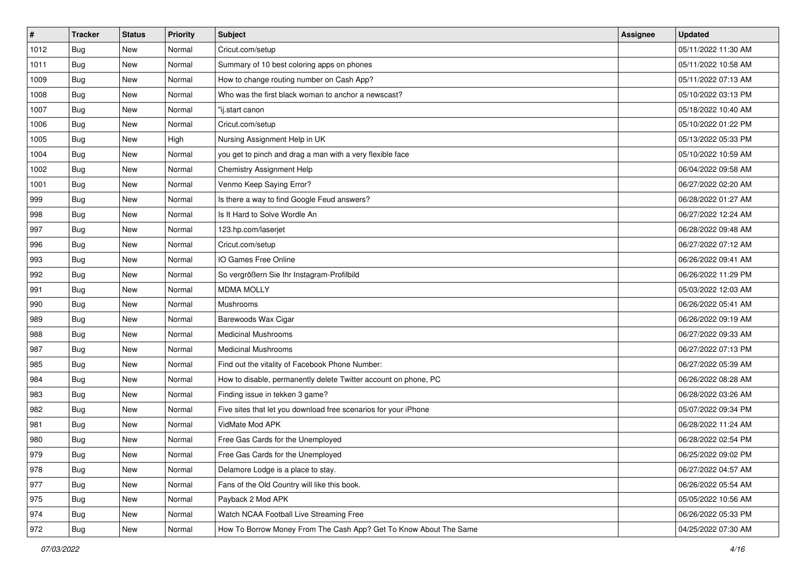| $\vert$ # | <b>Tracker</b> | <b>Status</b> | Priority | <b>Subject</b>                                                    | Assignee | <b>Updated</b>      |
|-----------|----------------|---------------|----------|-------------------------------------------------------------------|----------|---------------------|
| 1012      | Bug            | New           | Normal   | Cricut.com/setup                                                  |          | 05/11/2022 11:30 AM |
| 1011      | Bug            | New           | Normal   | Summary of 10 best coloring apps on phones                        |          | 05/11/2022 10:58 AM |
| 1009      | Bug            | New           | Normal   | How to change routing number on Cash App?                         |          | 05/11/2022 07:13 AM |
| 1008      | <b>Bug</b>     | New           | Normal   | Who was the first black woman to anchor a newscast?               |          | 05/10/2022 03:13 PM |
| 1007      | <b>Bug</b>     | <b>New</b>    | Normal   | "ij.start canon                                                   |          | 05/18/2022 10:40 AM |
| 1006      | Bug            | New           | Normal   | Cricut.com/setup                                                  |          | 05/10/2022 01:22 PM |
| 1005      | <b>Bug</b>     | New           | High     | Nursing Assignment Help in UK                                     |          | 05/13/2022 05:33 PM |
| 1004      | Bug            | New           | Normal   | you get to pinch and drag a man with a very flexible face         |          | 05/10/2022 10:59 AM |
| 1002      | Bug            | New           | Normal   | Chemistry Assignment Help                                         |          | 06/04/2022 09:58 AM |
| 1001      | Bug            | <b>New</b>    | Normal   | Venmo Keep Saying Error?                                          |          | 06/27/2022 02:20 AM |
| 999       | Bug            | New           | Normal   | Is there a way to find Google Feud answers?                       |          | 06/28/2022 01:27 AM |
| 998       | Bug            | New           | Normal   | Is It Hard to Solve Wordle An                                     |          | 06/27/2022 12:24 AM |
| 997       | Bug            | New           | Normal   | 123.hp.com/laserjet                                               |          | 06/28/2022 09:48 AM |
| 996       | <b>Bug</b>     | New           | Normal   | Cricut.com/setup                                                  |          | 06/27/2022 07:12 AM |
| 993       | Bug            | New           | Normal   | IO Games Free Online                                              |          | 06/26/2022 09:41 AM |
| 992       | Bug            | New           | Normal   | So vergrößern Sie Ihr Instagram-Profilbild                        |          | 06/26/2022 11:29 PM |
| 991       | <b>Bug</b>     | New           | Normal   | <b>MDMA MOLLY</b>                                                 |          | 05/03/2022 12:03 AM |
| 990       | Bug            | <b>New</b>    | Normal   | Mushrooms                                                         |          | 06/26/2022 05:41 AM |
| 989       | <b>Bug</b>     | New           | Normal   | Barewoods Wax Cigar                                               |          | 06/26/2022 09:19 AM |
| 988       | Bug            | New           | Normal   | <b>Medicinal Mushrooms</b>                                        |          | 06/27/2022 09:33 AM |
| 987       | <b>Bug</b>     | New           | Normal   | <b>Medicinal Mushrooms</b>                                        |          | 06/27/2022 07:13 PM |
| 985       | <b>Bug</b>     | New           | Normal   | Find out the vitality of Facebook Phone Number:                   |          | 06/27/2022 05:39 AM |
| 984       | Bug            | <b>New</b>    | Normal   | How to disable, permanently delete Twitter account on phone, PC   |          | 06/26/2022 08:28 AM |
| 983       | Bug            | New           | Normal   | Finding issue in tekken 3 game?                                   |          | 06/28/2022 03:26 AM |
| 982       | Bug            | New           | Normal   | Five sites that let you download free scenarios for your iPhone   |          | 05/07/2022 09:34 PM |
| 981       | Bug            | New           | Normal   | VidMate Mod APK                                                   |          | 06/28/2022 11:24 AM |
| 980       | <b>Bug</b>     | New           | Normal   | Free Gas Cards for the Unemployed                                 |          | 06/28/2022 02:54 PM |
| 979       | <b>Bug</b>     | New           | Normal   | Free Gas Cards for the Unemployed                                 |          | 06/25/2022 09:02 PM |
| 978       | <b>Bug</b>     | New           | Normal   | Delamore Lodge is a place to stay.                                |          | 06/27/2022 04:57 AM |
| 977       | Bug            | New           | Normal   | Fans of the Old Country will like this book.                      |          | 06/26/2022 05:54 AM |
| 975       | Bug            | New           | Normal   | Payback 2 Mod APK                                                 |          | 05/05/2022 10:56 AM |
| 974       | <b>Bug</b>     | New           | Normal   | Watch NCAA Football Live Streaming Free                           |          | 06/26/2022 05:33 PM |
| 972       | Bug            | New           | Normal   | How To Borrow Money From The Cash App? Get To Know About The Same |          | 04/25/2022 07:30 AM |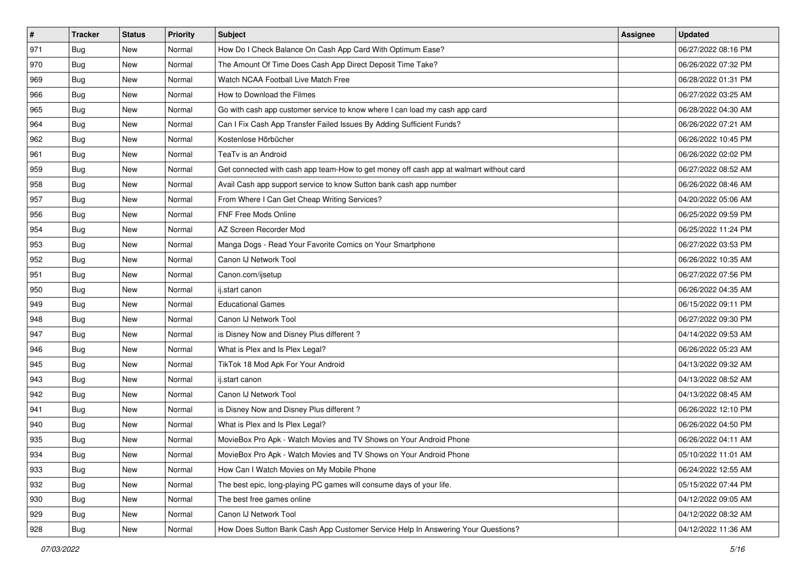| $\vert$ # | <b>Tracker</b> | <b>Status</b> | <b>Priority</b> | Subject                                                                                | <b>Assignee</b> | <b>Updated</b>      |
|-----------|----------------|---------------|-----------------|----------------------------------------------------------------------------------------|-----------------|---------------------|
| 971       | <b>Bug</b>     | New           | Normal          | How Do I Check Balance On Cash App Card With Optimum Ease?                             |                 | 06/27/2022 08:16 PM |
| 970       | Bug            | New           | Normal          | The Amount Of Time Does Cash App Direct Deposit Time Take?                             |                 | 06/26/2022 07:32 PM |
| 969       | Bug            | New           | Normal          | Watch NCAA Football Live Match Free                                                    |                 | 06/28/2022 01:31 PM |
| 966       | Bug            | New           | Normal          | How to Download the Filmes                                                             |                 | 06/27/2022 03:25 AM |
| 965       | <b>Bug</b>     | New           | Normal          | Go with cash app customer service to know where I can load my cash app card            |                 | 06/28/2022 04:30 AM |
| 964       | Bug            | New           | Normal          | Can I Fix Cash App Transfer Failed Issues By Adding Sufficient Funds?                  |                 | 06/26/2022 07:21 AM |
| 962       | Bug            | New           | Normal          | Kostenlose Hörbücher                                                                   |                 | 06/26/2022 10:45 PM |
| 961       | <b>Bug</b>     | New           | Normal          | TeaTv is an Android                                                                    |                 | 06/26/2022 02:02 PM |
| 959       | <b>Bug</b>     | New           | Normal          | Get connected with cash app team-How to get money off cash app at walmart without card |                 | 06/27/2022 08:52 AM |
| 958       | Bug            | New           | Normal          | Avail Cash app support service to know Sutton bank cash app number                     |                 | 06/26/2022 08:46 AM |
| 957       | Bug            | New           | Normal          | From Where I Can Get Cheap Writing Services?                                           |                 | 04/20/2022 05:06 AM |
| 956       | <b>Bug</b>     | New           | Normal          | FNF Free Mods Online                                                                   |                 | 06/25/2022 09:59 PM |
| 954       | Bug            | New           | Normal          | AZ Screen Recorder Mod                                                                 |                 | 06/25/2022 11:24 PM |
| 953       | <b>Bug</b>     | New           | Normal          | Manga Dogs - Read Your Favorite Comics on Your Smartphone                              |                 | 06/27/2022 03:53 PM |
| 952       | <b>Bug</b>     | New           | Normal          | Canon IJ Network Tool                                                                  |                 | 06/26/2022 10:35 AM |
| 951       | Bug            | New           | Normal          | Canon.com/ijsetup                                                                      |                 | 06/27/2022 07:56 PM |
| 950       | Bug            | New           | Normal          | ij.start canon                                                                         |                 | 06/26/2022 04:35 AM |
| 949       | Bug            | New           | Normal          | <b>Educational Games</b>                                                               |                 | 06/15/2022 09:11 PM |
| 948       | <b>Bug</b>     | New           | Normal          | Canon IJ Network Tool                                                                  |                 | 06/27/2022 09:30 PM |
| 947       | Bug            | New           | Normal          | is Disney Now and Disney Plus different?                                               |                 | 04/14/2022 09:53 AM |
| 946       | <b>Bug</b>     | New           | Normal          | What is Plex and Is Plex Legal?                                                        |                 | 06/26/2022 05:23 AM |
| 945       | <b>Bug</b>     | New           | Normal          | TikTok 18 Mod Apk For Your Android                                                     |                 | 04/13/2022 09:32 AM |
| 943       | Bug            | <b>New</b>    | Normal          | ij.start canon                                                                         |                 | 04/13/2022 08:52 AM |
| 942       | Bug            | New           | Normal          | Canon IJ Network Tool                                                                  |                 | 04/13/2022 08:45 AM |
| 941       | Bug            | New           | Normal          | is Disney Now and Disney Plus different?                                               |                 | 06/26/2022 12:10 PM |
| 940       | Bug            | <b>New</b>    | Normal          | What is Plex and Is Plex Legal?                                                        |                 | 06/26/2022 04:50 PM |
| 935       | <b>Bug</b>     | New           | Normal          | MovieBox Pro Apk - Watch Movies and TV Shows on Your Android Phone                     |                 | 06/26/2022 04:11 AM |
| 934       | <b>Bug</b>     | New           | Normal          | MovieBox Pro Apk - Watch Movies and TV Shows on Your Android Phone                     |                 | 05/10/2022 11:01 AM |
| 933       | Bug            | New           | Normal          | How Can I Watch Movies on My Mobile Phone                                              |                 | 06/24/2022 12:55 AM |
| 932       | Bug            | New           | Normal          | The best epic, long-playing PC games will consume days of your life.                   |                 | 05/15/2022 07:44 PM |
| 930       | Bug            | New           | Normal          | The best free games online                                                             |                 | 04/12/2022 09:05 AM |
| 929       | <b>Bug</b>     | New           | Normal          | Canon IJ Network Tool                                                                  |                 | 04/12/2022 08:32 AM |
| 928       | <b>Bug</b>     | New           | Normal          | How Does Sutton Bank Cash App Customer Service Help In Answering Your Questions?       |                 | 04/12/2022 11:36 AM |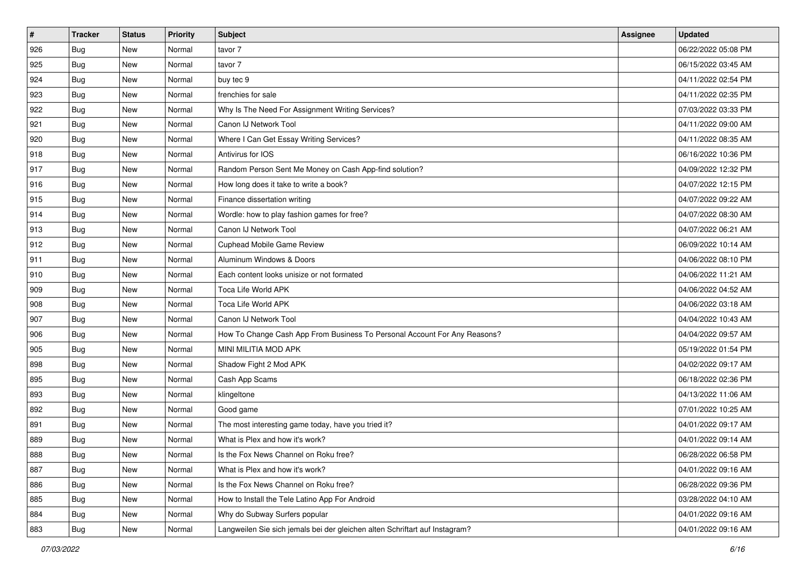| #   | <b>Tracker</b> | <b>Status</b> | Priority | <b>Subject</b>                                                              | <b>Assignee</b> | <b>Updated</b>      |
|-----|----------------|---------------|----------|-----------------------------------------------------------------------------|-----------------|---------------------|
| 926 | <b>Bug</b>     | New           | Normal   | tavor 7                                                                     |                 | 06/22/2022 05:08 PM |
| 925 | Bug            | New           | Normal   | tavor 7                                                                     |                 | 06/15/2022 03:45 AM |
| 924 | <b>Bug</b>     | New           | Normal   | buy tec 9                                                                   |                 | 04/11/2022 02:54 PM |
| 923 | <b>Bug</b>     | New           | Normal   | frenchies for sale                                                          |                 | 04/11/2022 02:35 PM |
| 922 | Bug            | <b>New</b>    | Normal   | Why Is The Need For Assignment Writing Services?                            |                 | 07/03/2022 03:33 PM |
| 921 | Bug            | New           | Normal   | Canon IJ Network Tool                                                       |                 | 04/11/2022 09:00 AM |
| 920 | <b>Bug</b>     | New           | Normal   | Where I Can Get Essay Writing Services?                                     |                 | 04/11/2022 08:35 AM |
| 918 | Bug            | New           | Normal   | Antivirus for IOS                                                           |                 | 06/16/2022 10:36 PM |
| 917 | Bug            | New           | Normal   | Random Person Sent Me Money on Cash App-find solution?                      |                 | 04/09/2022 12:32 PM |
| 916 | Bug            | <b>New</b>    | Normal   | How long does it take to write a book?                                      |                 | 04/07/2022 12:15 PM |
| 915 | Bug            | New           | Normal   | Finance dissertation writing                                                |                 | 04/07/2022 09:22 AM |
| 914 | Bug            | New           | Normal   | Wordle: how to play fashion games for free?                                 |                 | 04/07/2022 08:30 AM |
| 913 | Bug            | New           | Normal   | Canon IJ Network Tool                                                       |                 | 04/07/2022 06:21 AM |
| 912 | <b>Bug</b>     | <b>New</b>    | Normal   | <b>Cuphead Mobile Game Review</b>                                           |                 | 06/09/2022 10:14 AM |
| 911 | Bug            | New           | Normal   | Aluminum Windows & Doors                                                    |                 | 04/06/2022 08:10 PM |
| 910 | Bug            | New           | Normal   | Each content looks unisize or not formated                                  |                 | 04/06/2022 11:21 AM |
| 909 | <b>Bug</b>     | New           | Normal   | Toca Life World APK                                                         |                 | 04/06/2022 04:52 AM |
| 908 | <b>Bug</b>     | <b>New</b>    | Normal   | Toca Life World APK                                                         |                 | 04/06/2022 03:18 AM |
| 907 | Bug            | New           | Normal   | Canon IJ Network Tool                                                       |                 | 04/04/2022 10:43 AM |
| 906 | Bug            | New           | Normal   | How To Change Cash App From Business To Personal Account For Any Reasons?   |                 | 04/04/2022 09:57 AM |
| 905 | <b>Bug</b>     | New           | Normal   | MINI MILITIA MOD APK                                                        |                 | 05/19/2022 01:54 PM |
| 898 | Bug            | New           | Normal   | Shadow Fight 2 Mod APK                                                      |                 | 04/02/2022 09:17 AM |
| 895 | Bug            | <b>New</b>    | Normal   | Cash App Scams                                                              |                 | 06/18/2022 02:36 PM |
| 893 | Bug            | New           | Normal   | klingeltone                                                                 |                 | 04/13/2022 11:06 AM |
| 892 | Bug            | New           | Normal   | Good game                                                                   |                 | 07/01/2022 10:25 AM |
| 891 | <b>Bug</b>     | New           | Normal   | The most interesting game today, have you tried it?                         |                 | 04/01/2022 09:17 AM |
| 889 | <b>Bug</b>     | New           | Normal   | What is Plex and how it's work?                                             |                 | 04/01/2022 09:14 AM |
| 888 | <b>Bug</b>     | New           | Normal   | Is the Fox News Channel on Roku free?                                       |                 | 06/28/2022 06:58 PM |
| 887 | <b>Bug</b>     | New           | Normal   | What is Plex and how it's work?                                             |                 | 04/01/2022 09:16 AM |
| 886 | Bug            | New           | Normal   | Is the Fox News Channel on Roku free?                                       |                 | 06/28/2022 09:36 PM |
| 885 | Bug            | New           | Normal   | How to Install the Tele Latino App For Android                              |                 | 03/28/2022 04:10 AM |
| 884 | <b>Bug</b>     | New           | Normal   | Why do Subway Surfers popular                                               |                 | 04/01/2022 09:16 AM |
| 883 | <b>Bug</b>     | New           | Normal   | Langweilen Sie sich jemals bei der gleichen alten Schriftart auf Instagram? |                 | 04/01/2022 09:16 AM |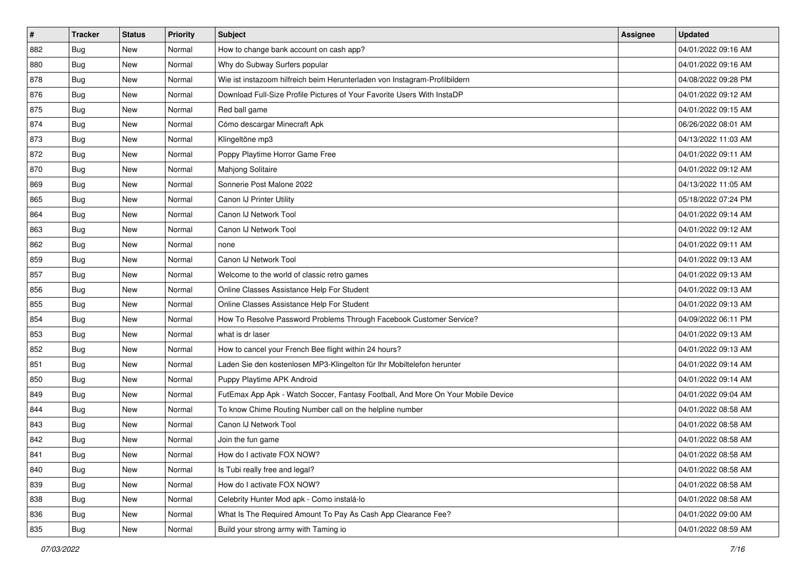| $\sharp$ | <b>Tracker</b> | <b>Status</b> | Priority | <b>Subject</b>                                                                   | <b>Assignee</b> | <b>Updated</b>      |
|----------|----------------|---------------|----------|----------------------------------------------------------------------------------|-----------------|---------------------|
| 882      | <b>Bug</b>     | New           | Normal   | How to change bank account on cash app?                                          |                 | 04/01/2022 09:16 AM |
| 880      | Bug            | New           | Normal   | Why do Subway Surfers popular                                                    |                 | 04/01/2022 09:16 AM |
| 878      | Bug            | New           | Normal   | Wie ist instazoom hilfreich beim Herunterladen von Instagram-Profilbildern       |                 | 04/08/2022 09:28 PM |
| 876      | <b>Bug</b>     | <b>New</b>    | Normal   | Download Full-Size Profile Pictures of Your Favorite Users With InstaDP          |                 | 04/01/2022 09:12 AM |
| 875      | Bug            | New           | Normal   | Red ball game                                                                    |                 | 04/01/2022 09:15 AM |
| 874      | <b>Bug</b>     | New           | Normal   | Cómo descargar Minecraft Apk                                                     |                 | 06/26/2022 08:01 AM |
| 873      | <b>Bug</b>     | New           | Normal   | Klingeltöne mp3                                                                  |                 | 04/13/2022 11:03 AM |
| 872      | Bug            | New           | Normal   | Poppy Playtime Horror Game Free                                                  |                 | 04/01/2022 09:11 AM |
| 870      | <b>Bug</b>     | New           | Normal   | Mahjong Solitaire                                                                |                 | 04/01/2022 09:12 AM |
| 869      | Bug            | New           | Normal   | Sonnerie Post Malone 2022                                                        |                 | 04/13/2022 11:05 AM |
| 865      | <b>Bug</b>     | New           | Normal   | Canon IJ Printer Utility                                                         |                 | 05/18/2022 07:24 PM |
| 864      | Bug            | New           | Normal   | Canon IJ Network Tool                                                            |                 | 04/01/2022 09:14 AM |
| 863      | <b>Bug</b>     | New           | Normal   | Canon IJ Network Tool                                                            |                 | 04/01/2022 09:12 AM |
| 862      | <b>Bug</b>     | New           | Normal   | none                                                                             |                 | 04/01/2022 09:11 AM |
| 859      | Bug            | <b>New</b>    | Normal   | Canon IJ Network Tool                                                            |                 | 04/01/2022 09:13 AM |
| 857      | <b>Bug</b>     | New           | Normal   | Welcome to the world of classic retro games                                      |                 | 04/01/2022 09:13 AM |
| 856      | <b>Bug</b>     | New           | Normal   | Online Classes Assistance Help For Student                                       |                 | 04/01/2022 09:13 AM |
| 855      | Bug            | New           | Normal   | Online Classes Assistance Help For Student                                       |                 | 04/01/2022 09:13 AM |
| 854      | Bug            | New           | Normal   | How To Resolve Password Problems Through Facebook Customer Service?              |                 | 04/09/2022 06:11 PM |
| 853      | Bug            | New           | Normal   | what is dr laser                                                                 |                 | 04/01/2022 09:13 AM |
| 852      | <b>Bug</b>     | New           | Normal   | How to cancel your French Bee flight within 24 hours?                            |                 | 04/01/2022 09:13 AM |
| 851      | <b>Bug</b>     | New           | Normal   | Laden Sie den kostenlosen MP3-Klingelton für Ihr Mobiltelefon herunter           |                 | 04/01/2022 09:14 AM |
| 850      | Bug            | New           | Normal   | Puppy Playtime APK Android                                                       |                 | 04/01/2022 09:14 AM |
| 849      | Bug            | New           | Normal   | FutEmax App Apk - Watch Soccer, Fantasy Football, And More On Your Mobile Device |                 | 04/01/2022 09:04 AM |
| 844      | Bug            | New           | Normal   | To know Chime Routing Number call on the helpline number                         |                 | 04/01/2022 08:58 AM |
| 843      | <b>Bug</b>     | New           | Normal   | Canon IJ Network Tool                                                            |                 | 04/01/2022 08:58 AM |
| 842      | <b>Bug</b>     | New           | Normal   | Join the fun game                                                                |                 | 04/01/2022 08:58 AM |
| 841      | <b>Bug</b>     | New           | Normal   | How do I activate FOX NOW?                                                       |                 | 04/01/2022 08:58 AM |
| 840      | <b>Bug</b>     | New           | Normal   | Is Tubi really free and legal?                                                   |                 | 04/01/2022 08:58 AM |
| 839      | Bug            | New           | Normal   | How do I activate FOX NOW?                                                       |                 | 04/01/2022 08:58 AM |
| 838      | <b>Bug</b>     | New           | Normal   | Celebrity Hunter Mod apk - Como instalá-lo                                       |                 | 04/01/2022 08:58 AM |
| 836      | <b>Bug</b>     | New           | Normal   | What Is The Required Amount To Pay As Cash App Clearance Fee?                    |                 | 04/01/2022 09:00 AM |
| 835      | <b>Bug</b>     | New           | Normal   | Build your strong army with Taming io                                            |                 | 04/01/2022 08:59 AM |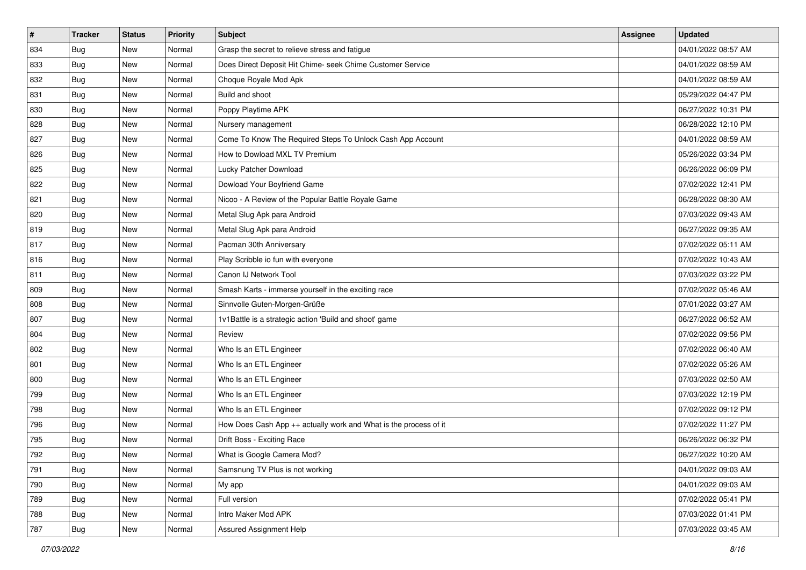| $\sharp$ | <b>Tracker</b> | <b>Status</b> | Priority | <b>Subject</b>                                                   | <b>Assignee</b> | <b>Updated</b>      |
|----------|----------------|---------------|----------|------------------------------------------------------------------|-----------------|---------------------|
| 834      | <b>Bug</b>     | New           | Normal   | Grasp the secret to relieve stress and fatigue                   |                 | 04/01/2022 08:57 AM |
| 833      | Bug            | New           | Normal   | Does Direct Deposit Hit Chime- seek Chime Customer Service       |                 | 04/01/2022 08:59 AM |
| 832      | Bug            | New           | Normal   | Choque Royale Mod Apk                                            |                 | 04/01/2022 08:59 AM |
| 831      | <b>Bug</b>     | <b>New</b>    | Normal   | Build and shoot                                                  |                 | 05/29/2022 04:47 PM |
| 830      | Bug            | New           | Normal   | Poppy Playtime APK                                               |                 | 06/27/2022 10:31 PM |
| 828      | <b>Bug</b>     | New           | Normal   | Nursery management                                               |                 | 06/28/2022 12:10 PM |
| 827      | <b>Bug</b>     | New           | Normal   | Come To Know The Required Steps To Unlock Cash App Account       |                 | 04/01/2022 08:59 AM |
| 826      | <b>Bug</b>     | New           | Normal   | How to Dowload MXL TV Premium                                    |                 | 05/26/2022 03:34 PM |
| 825      | <b>Bug</b>     | New           | Normal   | Lucky Patcher Download                                           |                 | 06/26/2022 06:09 PM |
| 822      | Bug            | New           | Normal   | Dowload Your Boyfriend Game                                      |                 | 07/02/2022 12:41 PM |
| 821      | <b>Bug</b>     | New           | Normal   | Nicoo - A Review of the Popular Battle Royale Game               |                 | 06/28/2022 08:30 AM |
| 820      | Bug            | New           | Normal   | Metal Slug Apk para Android                                      |                 | 07/03/2022 09:43 AM |
| 819      | <b>Bug</b>     | New           | Normal   | Metal Slug Apk para Android                                      |                 | 06/27/2022 09:35 AM |
| 817      | <b>Bug</b>     | New           | Normal   | Pacman 30th Anniversary                                          |                 | 07/02/2022 05:11 AM |
| 816      | Bug            | <b>New</b>    | Normal   | Play Scribble io fun with everyone                               |                 | 07/02/2022 10:43 AM |
| 811      | Bug            | New           | Normal   | Canon IJ Network Tool                                            |                 | 07/03/2022 03:22 PM |
| 809      | <b>Bug</b>     | New           | Normal   | Smash Karts - immerse yourself in the exciting race              |                 | 07/02/2022 05:46 AM |
| 808      | Bug            | New           | Normal   | Sinnvolle Guten-Morgen-Grüße                                     |                 | 07/01/2022 03:27 AM |
| 807      | Bug            | New           | Normal   | 1v1Battle is a strategic action 'Build and shoot' game           |                 | 06/27/2022 06:52 AM |
| 804      | <b>Bug</b>     | New           | Normal   | Review                                                           |                 | 07/02/2022 09:56 PM |
| 802      | <b>Bug</b>     | New           | Normal   | Who Is an ETL Engineer                                           |                 | 07/02/2022 06:40 AM |
| 801      | <b>Bug</b>     | New           | Normal   | Who Is an ETL Engineer                                           |                 | 07/02/2022 05:26 AM |
| 800      | Bug            | New           | Normal   | Who Is an ETL Engineer                                           |                 | 07/03/2022 02:50 AM |
| 799      | Bug            | New           | Normal   | Who Is an ETL Engineer                                           |                 | 07/03/2022 12:19 PM |
| 798      | <b>Bug</b>     | New           | Normal   | Who Is an ETL Engineer                                           |                 | 07/02/2022 09:12 PM |
| 796      | <b>Bug</b>     | New           | Normal   | How Does Cash App ++ actually work and What is the process of it |                 | 07/02/2022 11:27 PM |
| 795      | Bug            | New           | Normal   | Drift Boss - Exciting Race                                       |                 | 06/26/2022 06:32 PM |
| 792      | Bug            | New           | Normal   | What is Google Camera Mod?                                       |                 | 06/27/2022 10:20 AM |
| 791      | Bug            | New           | Normal   | Samsnung TV Plus is not working                                  |                 | 04/01/2022 09:03 AM |
| 790      | Bug            | New           | Normal   | My app                                                           |                 | 04/01/2022 09:03 AM |
| 789      | Bug            | New           | Normal   | Full version                                                     |                 | 07/02/2022 05:41 PM |
| 788      | <b>Bug</b>     | New           | Normal   | Intro Maker Mod APK                                              |                 | 07/03/2022 01:41 PM |
| 787      | <b>Bug</b>     | New           | Normal   | Assured Assignment Help                                          |                 | 07/03/2022 03:45 AM |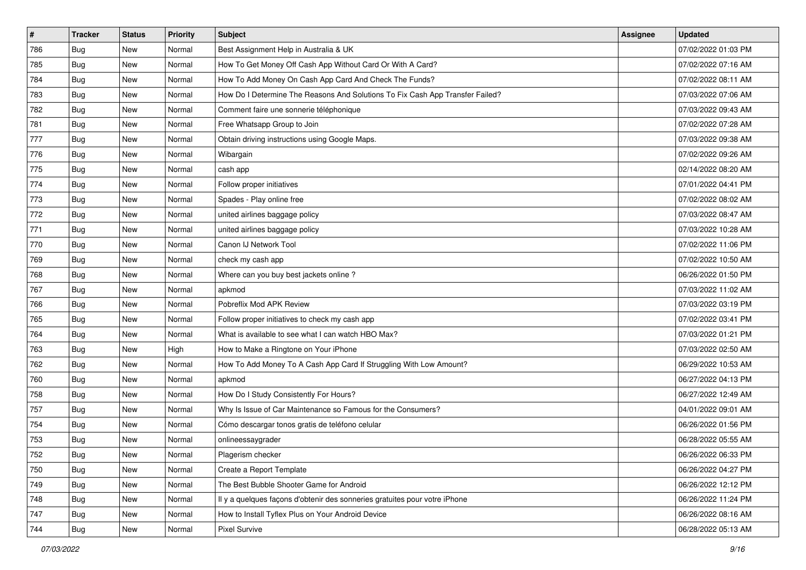| $\sharp$ | <b>Tracker</b> | <b>Status</b> | Priority | <b>Subject</b>                                                                | <b>Assignee</b> | <b>Updated</b>      |
|----------|----------------|---------------|----------|-------------------------------------------------------------------------------|-----------------|---------------------|
| 786      | <b>Bug</b>     | New           | Normal   | Best Assignment Help in Australia & UK                                        |                 | 07/02/2022 01:03 PM |
| 785      | Bug            | New           | Normal   | How To Get Money Off Cash App Without Card Or With A Card?                    |                 | 07/02/2022 07:16 AM |
| 784      | Bug            | New           | Normal   | How To Add Money On Cash App Card And Check The Funds?                        |                 | 07/02/2022 08:11 AM |
| 783      | <b>Bug</b>     | <b>New</b>    | Normal   | How Do I Determine The Reasons And Solutions To Fix Cash App Transfer Failed? |                 | 07/03/2022 07:06 AM |
| 782      | Bug            | New           | Normal   | Comment faire une sonnerie téléphonique                                       |                 | 07/03/2022 09:43 AM |
| 781      | <b>Bug</b>     | <b>New</b>    | Normal   | Free Whatsapp Group to Join                                                   |                 | 07/02/2022 07:28 AM |
| 777      | <b>Bug</b>     | New           | Normal   | Obtain driving instructions using Google Maps.                                |                 | 07/03/2022 09:38 AM |
| 776      | <b>Bug</b>     | New           | Normal   | Wibargain                                                                     |                 | 07/02/2022 09:26 AM |
| 775      | <b>Bug</b>     | New           | Normal   | cash app                                                                      |                 | 02/14/2022 08:20 AM |
| 774      | Bug            | <b>New</b>    | Normal   | Follow proper initiatives                                                     |                 | 07/01/2022 04:41 PM |
| 773      | <b>Bug</b>     | New           | Normal   | Spades - Play online free                                                     |                 | 07/02/2022 08:02 AM |
| 772      | Bug            | New           | Normal   | united airlines baggage policy                                                |                 | 07/03/2022 08:47 AM |
| 771      | <b>Bug</b>     | New           | Normal   | united airlines baggage policy                                                |                 | 07/03/2022 10:28 AM |
| 770      | <b>Bug</b>     | New           | Normal   | Canon IJ Network Tool                                                         |                 | 07/02/2022 11:06 PM |
| 769      | Bug            | <b>New</b>    | Normal   | check my cash app                                                             |                 | 07/02/2022 10:50 AM |
| 768      | <b>Bug</b>     | New           | Normal   | Where can you buy best jackets online?                                        |                 | 06/26/2022 01:50 PM |
| 767      | <b>Bug</b>     | <b>New</b>    | Normal   | apkmod                                                                        |                 | 07/03/2022 11:02 AM |
| 766      | Bug            | New           | Normal   | Pobreflix Mod APK Review                                                      |                 | 07/03/2022 03:19 PM |
| 765      | Bug            | New           | Normal   | Follow proper initiatives to check my cash app                                |                 | 07/02/2022 03:41 PM |
| 764      | Bug            | <b>New</b>    | Normal   | What is available to see what I can watch HBO Max?                            |                 | 07/03/2022 01:21 PM |
| 763      | <b>Bug</b>     | New           | High     | How to Make a Ringtone on Your iPhone                                         |                 | 07/03/2022 02:50 AM |
| 762      | <b>Bug</b>     | New           | Normal   | How To Add Money To A Cash App Card If Struggling With Low Amount?            |                 | 06/29/2022 10:53 AM |
| 760      | Bug            | New           | Normal   | apkmod                                                                        |                 | 06/27/2022 04:13 PM |
| 758      | Bug            | New           | Normal   | How Do I Study Consistently For Hours?                                        |                 | 06/27/2022 12:49 AM |
| 757      | <b>Bug</b>     | New           | Normal   | Why Is Issue of Car Maintenance so Famous for the Consumers?                  |                 | 04/01/2022 09:01 AM |
| 754      | <b>Bug</b>     | New           | Normal   | Cómo descargar tonos gratis de teléfono celular                               |                 | 06/26/2022 01:56 PM |
| 753      | <b>Bug</b>     | New           | Normal   | onlineessaygrader                                                             |                 | 06/28/2022 05:55 AM |
| 752      | Bug            | New           | Normal   | Plagerism checker                                                             |                 | 06/26/2022 06:33 PM |
| 750      | Bug            | New           | Normal   | Create a Report Template                                                      |                 | 06/26/2022 04:27 PM |
| 749      | Bug            | New           | Normal   | The Best Bubble Shooter Game for Android                                      |                 | 06/26/2022 12:12 PM |
| 748      | <b>Bug</b>     | New           | Normal   | Il y a quelques façons d'obtenir des sonneries gratuites pour votre iPhone    |                 | 06/26/2022 11:24 PM |
| 747      | <b>Bug</b>     | New           | Normal   | How to Install Tyflex Plus on Your Android Device                             |                 | 06/26/2022 08:16 AM |
| 744      | <b>Bug</b>     | New           | Normal   | <b>Pixel Survive</b>                                                          |                 | 06/28/2022 05:13 AM |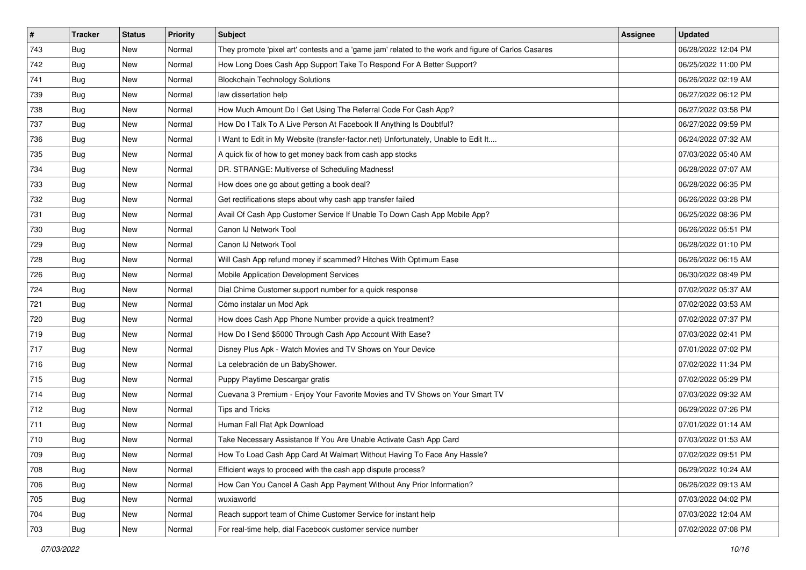| $\vert$ # | <b>Tracker</b> | <b>Status</b> | Priority | Subject                                                                                             | <b>Assignee</b> | <b>Updated</b>      |
|-----------|----------------|---------------|----------|-----------------------------------------------------------------------------------------------------|-----------------|---------------------|
| 743       | Bug            | New           | Normal   | They promote 'pixel art' contests and a 'game jam' related to the work and figure of Carlos Casares |                 | 06/28/2022 12:04 PM |
| 742       | Bug            | New           | Normal   | How Long Does Cash App Support Take To Respond For A Better Support?                                |                 | 06/25/2022 11:00 PM |
| 741       | Bug            | New           | Normal   | <b>Blockchain Technology Solutions</b>                                                              |                 | 06/26/2022 02:19 AM |
| 739       | <b>Bug</b>     | New           | Normal   | law dissertation help                                                                               |                 | 06/27/2022 06:12 PM |
| 738       | <b>Bug</b>     | New           | Normal   | How Much Amount Do I Get Using The Referral Code For Cash App?                                      |                 | 06/27/2022 03:58 PM |
| 737       | Bug            | New           | Normal   | How Do I Talk To A Live Person At Facebook If Anything Is Doubtful?                                 |                 | 06/27/2022 09:59 PM |
| 736       | <b>Bug</b>     | New           | Normal   | I Want to Edit in My Website (transfer-factor.net) Unfortunately, Unable to Edit It                 |                 | 06/24/2022 07:32 AM |
| 735       | <b>Bug</b>     | New           | Normal   | A quick fix of how to get money back from cash app stocks                                           |                 | 07/03/2022 05:40 AM |
| 734       | <b>Bug</b>     | New           | Normal   | DR. STRANGE: Multiverse of Scheduling Madness!                                                      |                 | 06/28/2022 07:07 AM |
| 733       | <b>Bug</b>     | <b>New</b>    | Normal   | How does one go about getting a book deal?                                                          |                 | 06/28/2022 06:35 PM |
| 732       | <b>Bug</b>     | New           | Normal   | Get rectifications steps about why cash app transfer failed                                         |                 | 06/26/2022 03:28 PM |
| 731       | <b>Bug</b>     | New           | Normal   | Avail Of Cash App Customer Service If Unable To Down Cash App Mobile App?                           |                 | 06/25/2022 08:36 PM |
| 730       | Bug            | New           | Normal   | Canon IJ Network Tool                                                                               |                 | 06/26/2022 05:51 PM |
| 729       | <b>Bug</b>     | New           | Normal   | Canon IJ Network Tool                                                                               |                 | 06/28/2022 01:10 PM |
| 728       | Bug            | New           | Normal   | Will Cash App refund money if scammed? Hitches With Optimum Ease                                    |                 | 06/26/2022 06:15 AM |
| 726       | <b>Bug</b>     | New           | Normal   | Mobile Application Development Services                                                             |                 | 06/30/2022 08:49 PM |
| 724       | <b>Bug</b>     | New           | Normal   | Dial Chime Customer support number for a quick response                                             |                 | 07/02/2022 05:37 AM |
| 721       | <b>Bug</b>     | New           | Normal   | Cómo instalar un Mod Apk                                                                            |                 | 07/02/2022 03:53 AM |
| 720       | Bug            | New           | Normal   | How does Cash App Phone Number provide a quick treatment?                                           |                 | 07/02/2022 07:37 PM |
| 719       | Bug            | New           | Normal   | How Do I Send \$5000 Through Cash App Account With Ease?                                            |                 | 07/03/2022 02:41 PM |
| 717       | Bug            | New           | Normal   | Disney Plus Apk - Watch Movies and TV Shows on Your Device                                          |                 | 07/01/2022 07:02 PM |
| 716       | <b>Bug</b>     | New           | Normal   | La celebración de un BabyShower.                                                                    |                 | 07/02/2022 11:34 PM |
| 715       | <b>Bug</b>     | New           | Normal   | Puppy Playtime Descargar gratis                                                                     |                 | 07/02/2022 05:29 PM |
| 714       | Bug            | New           | Normal   | Cuevana 3 Premium - Enjoy Your Favorite Movies and TV Shows on Your Smart TV                        |                 | 07/03/2022 09:32 AM |
| 712       | Bug            | New           | Normal   | <b>Tips and Tricks</b>                                                                              |                 | 06/29/2022 07:26 PM |
| 711       | Bug            | New           | Normal   | Human Fall Flat Apk Download                                                                        |                 | 07/01/2022 01:14 AM |
| 710       | <b>Bug</b>     | New           | Normal   | Take Necessary Assistance If You Are Unable Activate Cash App Card                                  |                 | 07/03/2022 01:53 AM |
| 709       | <b>Bug</b>     | New           | Normal   | How To Load Cash App Card At Walmart Without Having To Face Any Hassle?                             |                 | 07/02/2022 09:51 PM |
| 708       | Bug            | New           | Normal   | Efficient ways to proceed with the cash app dispute process?                                        |                 | 06/29/2022 10:24 AM |
| 706       | <b>Bug</b>     | New           | Normal   | How Can You Cancel A Cash App Payment Without Any Prior Information?                                |                 | 06/26/2022 09:13 AM |
| 705       | Bug            | New           | Normal   | wuxiaworld                                                                                          |                 | 07/03/2022 04:02 PM |
| 704       | <b>Bug</b>     | New           | Normal   | Reach support team of Chime Customer Service for instant help                                       |                 | 07/03/2022 12:04 AM |
| 703       | <b>Bug</b>     | New           | Normal   | For real-time help, dial Facebook customer service number                                           |                 | 07/02/2022 07:08 PM |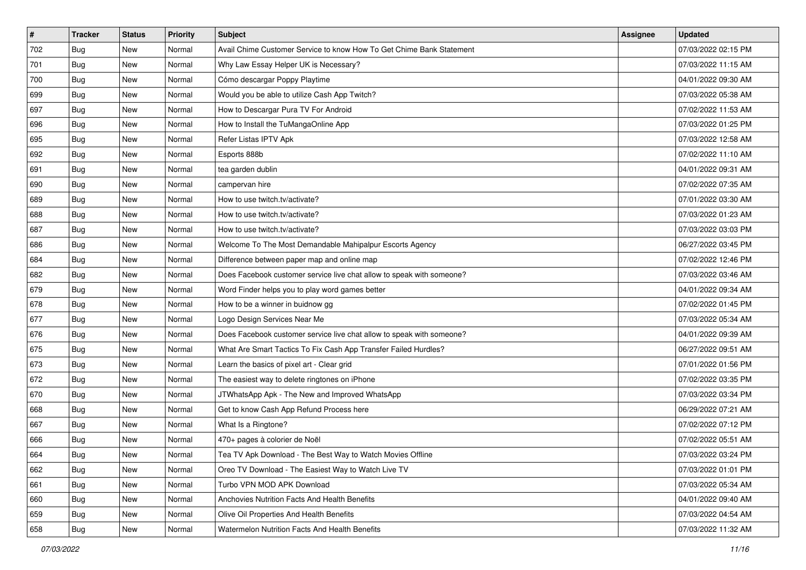| $\sharp$ | <b>Tracker</b> | <b>Status</b> | <b>Priority</b> | <b>Subject</b>                                                        | <b>Assignee</b> | <b>Updated</b>      |
|----------|----------------|---------------|-----------------|-----------------------------------------------------------------------|-----------------|---------------------|
| 702      | <b>Bug</b>     | New           | Normal          | Avail Chime Customer Service to know How To Get Chime Bank Statement  |                 | 07/03/2022 02:15 PM |
| 701      | Bug            | New           | Normal          | Why Law Essay Helper UK is Necessary?                                 |                 | 07/03/2022 11:15 AM |
| 700      | Bug            | New           | Normal          | Cómo descargar Poppy Playtime                                         |                 | 04/01/2022 09:30 AM |
| 699      | <b>Bug</b>     | New           | Normal          | Would you be able to utilize Cash App Twitch?                         |                 | 07/03/2022 05:38 AM |
| 697      | <b>Bug</b>     | New           | Normal          | How to Descargar Pura TV For Android                                  |                 | 07/02/2022 11:53 AM |
| 696      | Bug            | New           | Normal          | How to Install the TuMangaOnline App                                  |                 | 07/03/2022 01:25 PM |
| 695      | Bug            | New           | Normal          | Refer Listas IPTV Apk                                                 |                 | 07/03/2022 12:58 AM |
| 692      | <b>Bug</b>     | <b>New</b>    | Normal          | Esports 888b                                                          |                 | 07/02/2022 11:10 AM |
| 691      | <b>Bug</b>     | New           | Normal          | tea garden dublin                                                     |                 | 04/01/2022 09:31 AM |
| 690      | <b>Bug</b>     | <b>New</b>    | Normal          | campervan hire                                                        |                 | 07/02/2022 07:35 AM |
| 689      | <b>Bug</b>     | New           | Normal          | How to use twitch.tv/activate?                                        |                 | 07/01/2022 03:30 AM |
| 688      | <b>Bug</b>     | New           | Normal          | How to use twitch.tv/activate?                                        |                 | 07/03/2022 01:23 AM |
| 687      | Bug            | New           | Normal          | How to use twitch.tv/activate?                                        |                 | 07/03/2022 03:03 PM |
| 686      | <b>Bug</b>     | New           | Normal          | Welcome To The Most Demandable Mahipalpur Escorts Agency              |                 | 06/27/2022 03:45 PM |
| 684      | <b>Bug</b>     | New           | Normal          | Difference between paper map and online map                           |                 | 07/02/2022 12:46 PM |
| 682      | Bug            | New           | Normal          | Does Facebook customer service live chat allow to speak with someone? |                 | 07/03/2022 03:46 AM |
| 679      | <b>Bug</b>     | New           | Normal          | Word Finder helps you to play word games better                       |                 | 04/01/2022 09:34 AM |
| 678      | Bug            | New           | Normal          | How to be a winner in buidnow gg                                      |                 | 07/02/2022 01:45 PM |
| 677      | <b>Bug</b>     | New           | Normal          | Logo Design Services Near Me                                          |                 | 07/03/2022 05:34 AM |
| 676      | <b>Bug</b>     | New           | Normal          | Does Facebook customer service live chat allow to speak with someone? |                 | 04/01/2022 09:39 AM |
| 675      | <b>Bug</b>     | <b>New</b>    | Normal          | What Are Smart Tactics To Fix Cash App Transfer Failed Hurdles?       |                 | 06/27/2022 09:51 AM |
| 673      | <b>Bug</b>     | New           | Normal          | Learn the basics of pixel art - Clear grid                            |                 | 07/01/2022 01:56 PM |
| 672      | Bug            | New           | Normal          | The easiest way to delete ringtones on iPhone                         |                 | 07/02/2022 03:35 PM |
| 670      | Bug            | New           | Normal          | JTWhatsApp Apk - The New and Improved WhatsApp                        |                 | 07/03/2022 03:34 PM |
| 668      | Bug            | New           | Normal          | Get to know Cash App Refund Process here                              |                 | 06/29/2022 07:21 AM |
| 667      | Bug            | New           | Normal          | What Is a Ringtone?                                                   |                 | 07/02/2022 07:12 PM |
| 666      | <b>Bug</b>     | New           | Normal          | 470+ pages à colorier de Noël                                         |                 | 07/02/2022 05:51 AM |
| 664      | <b>Bug</b>     | New           | Normal          | Tea TV Apk Download - The Best Way to Watch Movies Offline            |                 | 07/03/2022 03:24 PM |
| 662      | Bug            | New           | Normal          | Oreo TV Download - The Easiest Way to Watch Live TV                   |                 | 07/03/2022 01:01 PM |
| 661      | Bug            | New           | Normal          | Turbo VPN MOD APK Download                                            |                 | 07/03/2022 05:34 AM |
| 660      | Bug            | New           | Normal          | Anchovies Nutrition Facts And Health Benefits                         |                 | 04/01/2022 09:40 AM |
| 659      | <b>Bug</b>     | New           | Normal          | Olive Oil Properties And Health Benefits                              |                 | 07/03/2022 04:54 AM |
| 658      | <b>Bug</b>     | New           | Normal          | Watermelon Nutrition Facts And Health Benefits                        |                 | 07/03/2022 11:32 AM |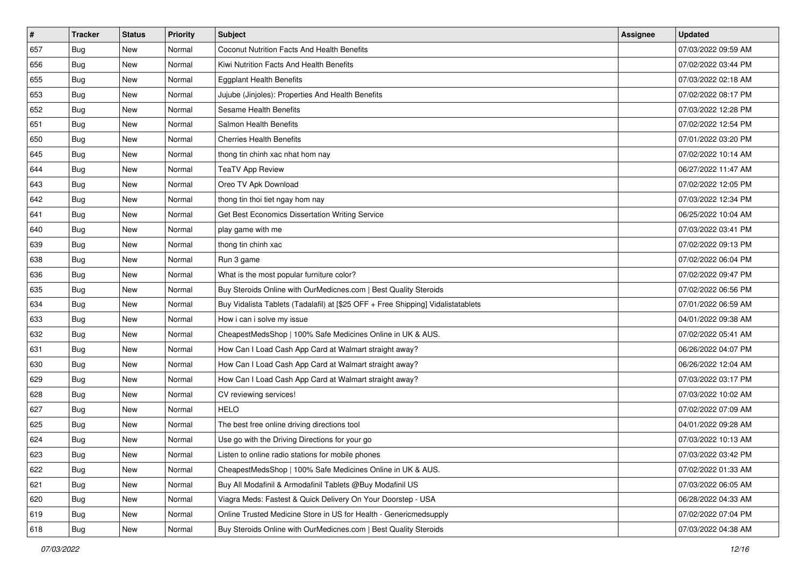| $\sharp$ | <b>Tracker</b> | <b>Status</b> | Priority | <b>Subject</b>                                                                   | <b>Assignee</b> | <b>Updated</b>      |
|----------|----------------|---------------|----------|----------------------------------------------------------------------------------|-----------------|---------------------|
| 657      | <b>Bug</b>     | New           | Normal   | Coconut Nutrition Facts And Health Benefits                                      |                 | 07/03/2022 09:59 AM |
| 656      | Bug            | New           | Normal   | Kiwi Nutrition Facts And Health Benefits                                         |                 | 07/02/2022 03:44 PM |
| 655      | Bug            | New           | Normal   | <b>Eggplant Health Benefits</b>                                                  |                 | 07/03/2022 02:18 AM |
| 653      | <b>Bug</b>     | <b>New</b>    | Normal   | Jujube (Jinjoles): Properties And Health Benefits                                |                 | 07/02/2022 08:17 PM |
| 652      | Bug            | New           | Normal   | <b>Sesame Health Benefits</b>                                                    |                 | 07/03/2022 12:28 PM |
| 651      | <b>Bug</b>     | New           | Normal   | Salmon Health Benefits                                                           |                 | 07/02/2022 12:54 PM |
| 650      | <b>Bug</b>     | New           | Normal   | <b>Cherries Health Benefits</b>                                                  |                 | 07/01/2022 03:20 PM |
| 645      | <b>Bug</b>     | New           | Normal   | thong tin chinh xac nhat hom nay                                                 |                 | 07/02/2022 10:14 AM |
| 644      | Bug            | New           | Normal   | <b>TeaTV App Review</b>                                                          |                 | 06/27/2022 11:47 AM |
| 643      | Bug            | New           | Normal   | Oreo TV Apk Download                                                             |                 | 07/02/2022 12:05 PM |
| 642      | Bug            | New           | Normal   | thong tin thoi tiet ngay hom nay                                                 |                 | 07/03/2022 12:34 PM |
| 641      | Bug            | New           | Normal   | Get Best Economics Dissertation Writing Service                                  |                 | 06/25/2022 10:04 AM |
| 640      | Bug            | New           | Normal   | play game with me                                                                |                 | 07/03/2022 03:41 PM |
| 639      | <b>Bug</b>     | New           | Normal   | thong tin chinh xac                                                              |                 | 07/02/2022 09:13 PM |
| 638      | Bug            | <b>New</b>    | Normal   | Run 3 game                                                                       |                 | 07/02/2022 06:04 PM |
| 636      | Bug            | New           | Normal   | What is the most popular furniture color?                                        |                 | 07/02/2022 09:47 PM |
| 635      | <b>Bug</b>     | <b>New</b>    | Normal   | Buy Steroids Online with OurMedicnes.com   Best Quality Steroids                 |                 | 07/02/2022 06:56 PM |
| 634      | Bug            | New           | Normal   | Buy Vidalista Tablets (Tadalafil) at [\$25 OFF + Free Shipping] Vidalistatablets |                 | 07/01/2022 06:59 AM |
| 633      | Bug            | New           | Normal   | How i can i solve my issue                                                       |                 | 04/01/2022 09:38 AM |
| 632      | Bug            | New           | Normal   | CheapestMedsShop   100% Safe Medicines Online in UK & AUS.                       |                 | 07/02/2022 05:41 AM |
| 631      | Bug            | New           | Normal   | How Can I Load Cash App Card at Walmart straight away?                           |                 | 06/26/2022 04:07 PM |
| 630      | <b>Bug</b>     | New           | Normal   | How Can I Load Cash App Card at Walmart straight away?                           |                 | 06/26/2022 12:04 AM |
| 629      | Bug            | New           | Normal   | How Can I Load Cash App Card at Walmart straight away?                           |                 | 07/03/2022 03:17 PM |
| 628      | Bug            | New           | Normal   | CV reviewing services!                                                           |                 | 07/03/2022 10:02 AM |
| 627      | Bug            | New           | Normal   | <b>HELO</b>                                                                      |                 | 07/02/2022 07:09 AM |
| 625      | <b>Bug</b>     | New           | Normal   | The best free online driving directions tool                                     |                 | 04/01/2022 09:28 AM |
| 624      | <b>Bug</b>     | New           | Normal   | Use go with the Driving Directions for your go                                   |                 | 07/03/2022 10:13 AM |
| 623      | I Bug          | New           | Normal   | Listen to online radio stations for mobile phones                                |                 | 07/03/2022 03:42 PM |
| 622      | Bug            | New           | Normal   | CheapestMedsShop   100% Safe Medicines Online in UK & AUS.                       |                 | 07/02/2022 01:33 AM |
| 621      | Bug            | New           | Normal   | Buy All Modafinil & Armodafinil Tablets @Buy Modafinil US                        |                 | 07/03/2022 06:05 AM |
| 620      | Bug            | New           | Normal   | Viagra Meds: Fastest & Quick Delivery On Your Doorstep - USA                     |                 | 06/28/2022 04:33 AM |
| 619      | <b>Bug</b>     | New           | Normal   | Online Trusted Medicine Store in US for Health - Genericmedsupply                |                 | 07/02/2022 07:04 PM |
| 618      | <b>Bug</b>     | New           | Normal   | Buy Steroids Online with OurMedicnes.com   Best Quality Steroids                 |                 | 07/03/2022 04:38 AM |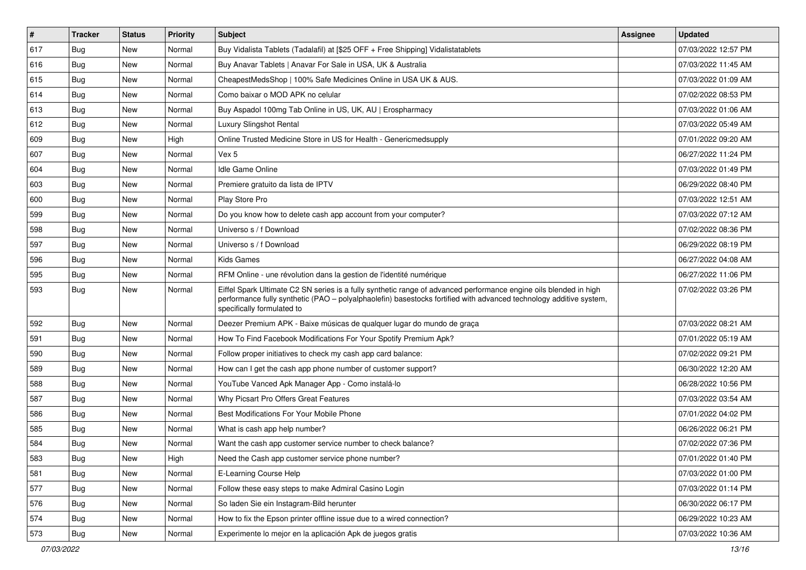| $\vert$ # | <b>Tracker</b> | <b>Status</b> | Priority | Subject                                                                                                                                                                                                                                                               | <b>Assignee</b> | <b>Updated</b>      |
|-----------|----------------|---------------|----------|-----------------------------------------------------------------------------------------------------------------------------------------------------------------------------------------------------------------------------------------------------------------------|-----------------|---------------------|
| 617       | <b>Bug</b>     | <b>New</b>    | Normal   | Buy Vidalista Tablets (Tadalafil) at [\$25 OFF + Free Shipping] Vidalistatablets                                                                                                                                                                                      |                 | 07/03/2022 12:57 PM |
| 616       | Bug            | New           | Normal   | Buy Anavar Tablets   Anavar For Sale in USA, UK & Australia                                                                                                                                                                                                           |                 | 07/03/2022 11:45 AM |
| 615       | Bug            | New           | Normal   | CheapestMedsShop   100% Safe Medicines Online in USA UK & AUS.                                                                                                                                                                                                        |                 | 07/03/2022 01:09 AM |
| 614       | Bug            | New           | Normal   | Como baixar o MOD APK no celular                                                                                                                                                                                                                                      |                 | 07/02/2022 08:53 PM |
| 613       | Bug            | New           | Normal   | Buy Aspadol 100mg Tab Online in US, UK, AU   Erospharmacy                                                                                                                                                                                                             |                 | 07/03/2022 01:06 AM |
| 612       | <b>Bug</b>     | New           | Normal   | <b>Luxury Slingshot Rental</b>                                                                                                                                                                                                                                        |                 | 07/03/2022 05:49 AM |
| 609       | Bug            | New           | High     | Online Trusted Medicine Store in US for Health - Genericmedsupply                                                                                                                                                                                                     |                 | 07/01/2022 09:20 AM |
| 607       | <b>Bug</b>     | <b>New</b>    | Normal   | Vex 5                                                                                                                                                                                                                                                                 |                 | 06/27/2022 11:24 PM |
| 604       | Bug            | New           | Normal   | Idle Game Online                                                                                                                                                                                                                                                      |                 | 07/03/2022 01:49 PM |
| 603       | Bug            | <b>New</b>    | Normal   | Premiere gratuito da lista de IPTV                                                                                                                                                                                                                                    |                 | 06/29/2022 08:40 PM |
| 600       | <b>Bug</b>     | New           | Normal   | Play Store Pro                                                                                                                                                                                                                                                        |                 | 07/03/2022 12:51 AM |
| 599       | Bug            | <b>New</b>    | Normal   | Do you know how to delete cash app account from your computer?                                                                                                                                                                                                        |                 | 07/03/2022 07:12 AM |
| 598       | Bug            | New           | Normal   | Universo s / f Download                                                                                                                                                                                                                                               |                 | 07/02/2022 08:36 PM |
| 597       | Bug            | New           | Normal   | Universo s / f Download                                                                                                                                                                                                                                               |                 | 06/29/2022 08:19 PM |
| 596       | Bug            | <b>New</b>    | Normal   | <b>Kids Games</b>                                                                                                                                                                                                                                                     |                 | 06/27/2022 04:08 AM |
| 595       | Bug            | New           | Normal   | RFM Online - une révolution dans la gestion de l'identité numérique                                                                                                                                                                                                   |                 | 06/27/2022 11:06 PM |
| 593       | Bug            | New           | Normal   | Eiffel Spark Ultimate C2 SN series is a fully synthetic range of advanced performance engine oils blended in high<br>performance fully synthetic (PAO - polyalphaolefin) basestocks fortified with advanced technology additive system,<br>specifically formulated to |                 | 07/02/2022 03:26 PM |
| 592       | Bug            | <b>New</b>    | Normal   | Deezer Premium APK - Baixe músicas de qualquer lugar do mundo de graça                                                                                                                                                                                                |                 | 07/03/2022 08:21 AM |
| 591       | Bug            | New           | Normal   | How To Find Facebook Modifications For Your Spotify Premium Apk?                                                                                                                                                                                                      |                 | 07/01/2022 05:19 AM |
| 590       | Bug            | New           | Normal   | Follow proper initiatives to check my cash app card balance:                                                                                                                                                                                                          |                 | 07/02/2022 09:21 PM |
| 589       | Bug            | <b>New</b>    | Normal   | How can I get the cash app phone number of customer support?                                                                                                                                                                                                          |                 | 06/30/2022 12:20 AM |
| 588       | <b>Bug</b>     | New           | Normal   | YouTube Vanced Apk Manager App - Como instalá-lo                                                                                                                                                                                                                      |                 | 06/28/2022 10:56 PM |
| 587       | Bug            | New           | Normal   | Why Picsart Pro Offers Great Features                                                                                                                                                                                                                                 |                 | 07/03/2022 03:54 AM |
| 586       | <b>Bug</b>     | New           | Normal   | Best Modifications For Your Mobile Phone                                                                                                                                                                                                                              |                 | 07/01/2022 04:02 PM |
| 585       | Bug            | New           | Normal   | What is cash app help number?                                                                                                                                                                                                                                         |                 | 06/26/2022 06:21 PM |
| 584       | Bug            | New           | Normal   | Want the cash app customer service number to check balance?                                                                                                                                                                                                           |                 | 07/02/2022 07:36 PM |
| 583       | Bug            | New           | High     | Need the Cash app customer service phone number?                                                                                                                                                                                                                      |                 | 07/01/2022 01:40 PM |
| 581       | Bug            | New           | Normal   | E-Learning Course Help                                                                                                                                                                                                                                                |                 | 07/03/2022 01:00 PM |
| 577       | Bug            | New           | Normal   | Follow these easy steps to make Admiral Casino Login                                                                                                                                                                                                                  |                 | 07/03/2022 01:14 PM |
| 576       | Bug            | New           | Normal   | So laden Sie ein Instagram-Bild herunter                                                                                                                                                                                                                              |                 | 06/30/2022 06:17 PM |
| 574       | Bug            | New           | Normal   | How to fix the Epson printer offline issue due to a wired connection?                                                                                                                                                                                                 |                 | 06/29/2022 10:23 AM |
| 573       | Bug            | New           | Normal   | Experimente lo mejor en la aplicación Apk de juegos gratis                                                                                                                                                                                                            |                 | 07/03/2022 10:36 AM |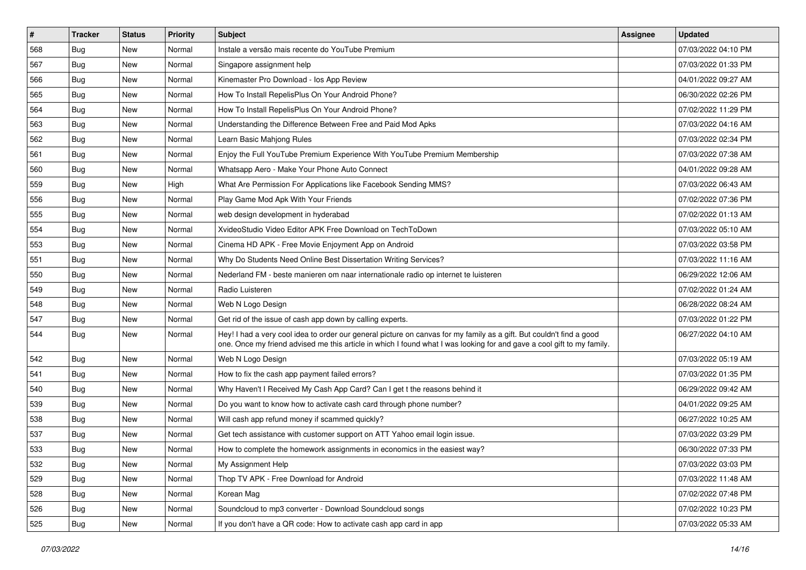| $\vert$ # | Tracker    | <b>Status</b> | Priority | <b>Subject</b>                                                                                                                                                                                                                                 | <b>Assignee</b> | <b>Updated</b>      |
|-----------|------------|---------------|----------|------------------------------------------------------------------------------------------------------------------------------------------------------------------------------------------------------------------------------------------------|-----------------|---------------------|
| 568       | Bug        | New           | Normal   | Instale a versão mais recente do YouTube Premium                                                                                                                                                                                               |                 | 07/03/2022 04:10 PM |
| 567       | Bug        | New           | Normal   | Singapore assignment help                                                                                                                                                                                                                      |                 | 07/03/2022 01:33 PM |
| 566       | Bug        | New           | Normal   | Kinemaster Pro Download - los App Review                                                                                                                                                                                                       |                 | 04/01/2022 09:27 AM |
| 565       | Bug        | New           | Normal   | How To Install RepelisPlus On Your Android Phone?                                                                                                                                                                                              |                 | 06/30/2022 02:26 PM |
| 564       | Bug        | New           | Normal   | How To Install RepelisPlus On Your Android Phone?                                                                                                                                                                                              |                 | 07/02/2022 11:29 PM |
| 563       | Bug        | New           | Normal   | Understanding the Difference Between Free and Paid Mod Apks                                                                                                                                                                                    |                 | 07/03/2022 04:16 AM |
| 562       | Bug        | New           | Normal   | Learn Basic Mahjong Rules                                                                                                                                                                                                                      |                 | 07/03/2022 02:34 PM |
| 561       | <b>Bug</b> | New           | Normal   | Enjoy the Full YouTube Premium Experience With YouTube Premium Membership                                                                                                                                                                      |                 | 07/03/2022 07:38 AM |
| 560       | <b>Bug</b> | New           | Normal   | Whatsapp Aero - Make Your Phone Auto Connect                                                                                                                                                                                                   |                 | 04/01/2022 09:28 AM |
| 559       | Bug        | New           | High     | What Are Permission For Applications like Facebook Sending MMS?                                                                                                                                                                                |                 | 07/03/2022 06:43 AM |
| 556       | <b>Bug</b> | New           | Normal   | Play Game Mod Apk With Your Friends                                                                                                                                                                                                            |                 | 07/02/2022 07:36 PM |
| 555       | Bug        | New           | Normal   | web design development in hyderabad                                                                                                                                                                                                            |                 | 07/02/2022 01:13 AM |
| 554       | Bug        | New           | Normal   | XvideoStudio Video Editor APK Free Download on TechToDown                                                                                                                                                                                      |                 | 07/03/2022 05:10 AM |
| 553       | <b>Bug</b> | New           | Normal   | Cinema HD APK - Free Movie Enjoyment App on Android                                                                                                                                                                                            |                 | 07/03/2022 03:58 PM |
| 551       | <b>Bug</b> | New           | Normal   | Why Do Students Need Online Best Dissertation Writing Services?                                                                                                                                                                                |                 | 07/03/2022 11:16 AM |
| 550       | Bug        | New           | Normal   | Nederland FM - beste manieren om naar internationale radio op internet te luisteren                                                                                                                                                            |                 | 06/29/2022 12:06 AM |
| 549       | Bug        | New           | Normal   | Radio Luisteren                                                                                                                                                                                                                                |                 | 07/02/2022 01:24 AM |
| 548       | Bug        | New           | Normal   | Web N Logo Design                                                                                                                                                                                                                              |                 | 06/28/2022 08:24 AM |
| 547       | Bug        | New           | Normal   | Get rid of the issue of cash app down by calling experts.                                                                                                                                                                                      |                 | 07/03/2022 01:22 PM |
| 544       | Bug        | New           | Normal   | Hey! I had a very cool idea to order our general picture on canvas for my family as a gift. But couldn't find a good<br>one. Once my friend advised me this article in which I found what I was looking for and gave a cool gift to my family. |                 | 06/27/2022 04:10 AM |
| 542       | <b>Bug</b> | <b>New</b>    | Normal   | Web N Logo Design                                                                                                                                                                                                                              |                 | 07/03/2022 05:19 AM |
| 541       | Bug        | New           | Normal   | How to fix the cash app payment failed errors?                                                                                                                                                                                                 |                 | 07/03/2022 01:35 PM |
| 540       | <b>Bug</b> | New           | Normal   | Why Haven't I Received My Cash App Card? Can I get t the reasons behind it                                                                                                                                                                     |                 | 06/29/2022 09:42 AM |
| 539       | Bug        | New           | Normal   | Do you want to know how to activate cash card through phone number?                                                                                                                                                                            |                 | 04/01/2022 09:25 AM |
| 538       | <b>Bug</b> | New           | Normal   | Will cash app refund money if scammed quickly?                                                                                                                                                                                                 |                 | 06/27/2022 10:25 AM |
| 537       | Bug        | New           | Normal   | Get tech assistance with customer support on ATT Yahoo email login issue.                                                                                                                                                                      |                 | 07/03/2022 03:29 PM |
| 533       | <b>Bug</b> | New           | Normal   | How to complete the homework assignments in economics in the easiest way?                                                                                                                                                                      |                 | 06/30/2022 07:33 PM |
| 532       | Bug        | New           | Normal   | My Assignment Help                                                                                                                                                                                                                             |                 | 07/03/2022 03:03 PM |
| 529       | Bug        | New           | Normal   | Thop TV APK - Free Download for Android                                                                                                                                                                                                        |                 | 07/03/2022 11:48 AM |
| 528       | Bug        | New           | Normal   | Korean Mag                                                                                                                                                                                                                                     |                 | 07/02/2022 07:48 PM |
| 526       | <b>Bug</b> | New           | Normal   | Soundcloud to mp3 converter - Download Soundcloud songs                                                                                                                                                                                        |                 | 07/02/2022 10:23 PM |
| 525       | <b>Bug</b> | New           | Normal   | If you don't have a QR code: How to activate cash app card in app                                                                                                                                                                              |                 | 07/03/2022 05:33 AM |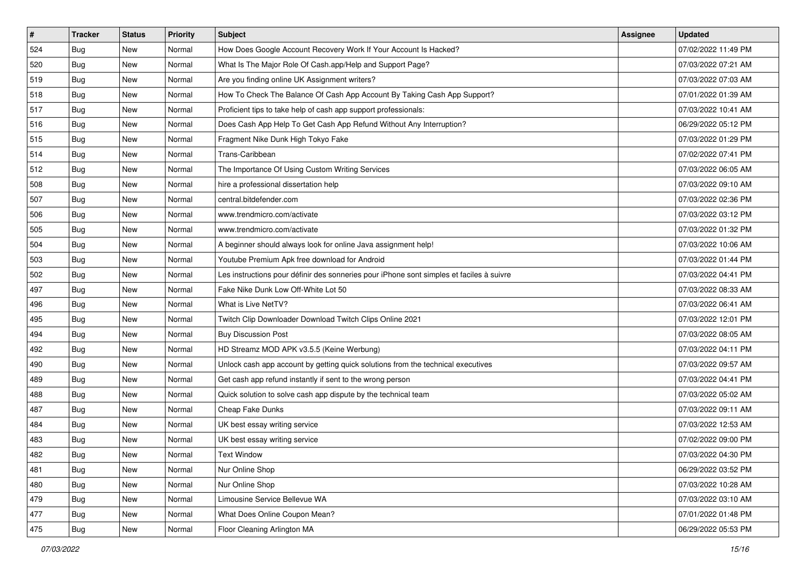| $\vert$ # | <b>Tracker</b> | <b>Status</b> | <b>Priority</b> | Subject                                                                                  | <b>Assignee</b> | <b>Updated</b>      |
|-----------|----------------|---------------|-----------------|------------------------------------------------------------------------------------------|-----------------|---------------------|
| 524       | <b>Bug</b>     | New           | Normal          | How Does Google Account Recovery Work If Your Account Is Hacked?                         |                 | 07/02/2022 11:49 PM |
| 520       | Bug            | New           | Normal          | What Is The Major Role Of Cash.app/Help and Support Page?                                |                 | 07/03/2022 07:21 AM |
| 519       | Bug            | New           | Normal          | Are you finding online UK Assignment writers?                                            |                 | 07/03/2022 07:03 AM |
| 518       | <b>Bug</b>     | New           | Normal          | How To Check The Balance Of Cash App Account By Taking Cash App Support?                 |                 | 07/01/2022 01:39 AM |
| 517       | <b>Bug</b>     | New           | Normal          | Proficient tips to take help of cash app support professionals:                          |                 | 07/03/2022 10:41 AM |
| 516       | Bug            | New           | Normal          | Does Cash App Help To Get Cash App Refund Without Any Interruption?                      |                 | 06/29/2022 05:12 PM |
| 515       | Bug            | New           | Normal          | Fragment Nike Dunk High Tokyo Fake                                                       |                 | 07/03/2022 01:29 PM |
| 514       | <b>Bug</b>     | New           | Normal          | Trans-Caribbean                                                                          |                 | 07/02/2022 07:41 PM |
| 512       | Bug            | New           | Normal          | The Importance Of Using Custom Writing Services                                          |                 | 07/03/2022 06:05 AM |
| 508       | <b>Bug</b>     | <b>New</b>    | Normal          | hire a professional dissertation help                                                    |                 | 07/03/2022 09:10 AM |
| 507       | Bug            | New           | Normal          | central.bitdefender.com                                                                  |                 | 07/03/2022 02:36 PM |
| 506       | <b>Bug</b>     | New           | Normal          | www.trendmicro.com/activate                                                              |                 | 07/03/2022 03:12 PM |
| 505       | Bug            | New           | Normal          | www.trendmicro.com/activate                                                              |                 | 07/03/2022 01:32 PM |
| 504       | <b>Bug</b>     | New           | Normal          | A beginner should always look for online Java assignment help!                           |                 | 07/03/2022 10:06 AM |
| 503       | <b>Bug</b>     | New           | Normal          | Youtube Premium Apk free download for Android                                            |                 | 07/03/2022 01:44 PM |
| 502       | Bug            | New           | Normal          | Les instructions pour définir des sonneries pour iPhone sont simples et faciles à suivre |                 | 07/03/2022 04:41 PM |
| 497       | <b>Bug</b>     | New           | Normal          | Fake Nike Dunk Low Off-White Lot 50                                                      |                 | 07/03/2022 08:33 AM |
| 496       | <b>Bug</b>     | New           | Normal          | What is Live NetTV?                                                                      |                 | 07/03/2022 06:41 AM |
| 495       | <b>Bug</b>     | New           | Normal          | Twitch Clip Downloader Download Twitch Clips Online 2021                                 |                 | 07/03/2022 12:01 PM |
| 494       | <b>Bug</b>     | New           | Normal          | <b>Buy Discussion Post</b>                                                               |                 | 07/03/2022 08:05 AM |
| 492       | <b>Bug</b>     | New           | Normal          | HD Streamz MOD APK v3.5.5 (Keine Werbung)                                                |                 | 07/03/2022 04:11 PM |
| 490       | <b>Bug</b>     | New           | Normal          | Unlock cash app account by getting quick solutions from the technical executives         |                 | 07/03/2022 09:57 AM |
| 489       | Bug            | New           | Normal          | Get cash app refund instantly if sent to the wrong person                                |                 | 07/03/2022 04:41 PM |
| 488       | Bug            | New           | Normal          | Quick solution to solve cash app dispute by the technical team                           |                 | 07/03/2022 05:02 AM |
| 487       | Bug            | New           | Normal          | Cheap Fake Dunks                                                                         |                 | 07/03/2022 09:11 AM |
| 484       | Bug            | New           | Normal          | UK best essay writing service                                                            |                 | 07/03/2022 12:53 AM |
| 483       | Bug            | New           | Normal          | UK best essay writing service                                                            |                 | 07/02/2022 09:00 PM |
| 482       | Bug            | New           | Normal          | <b>Text Window</b>                                                                       |                 | 07/03/2022 04:30 PM |
| 481       | Bug            | New           | Normal          | Nur Online Shop                                                                          |                 | 06/29/2022 03:52 PM |
| 480       | Bug            | New           | Normal          | Nur Online Shop                                                                          |                 | 07/03/2022 10:28 AM |
| 479       | Bug            | New           | Normal          | Limousine Service Bellevue WA                                                            |                 | 07/03/2022 03:10 AM |
| 477       | <b>Bug</b>     | New           | Normal          | What Does Online Coupon Mean?                                                            |                 | 07/01/2022 01:48 PM |
| 475       | <b>Bug</b>     | New           | Normal          | Floor Cleaning Arlington MA                                                              |                 | 06/29/2022 05:53 PM |